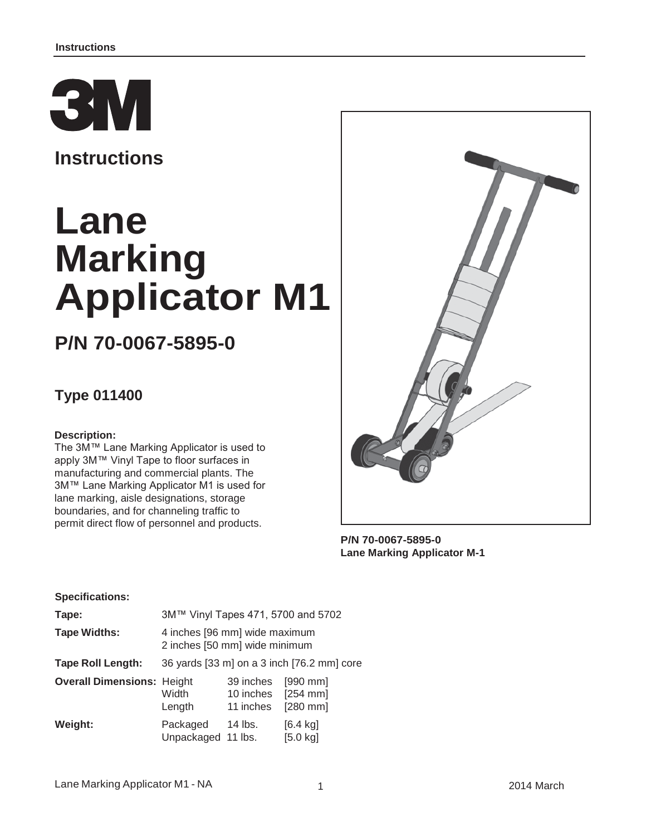

**Instructions**

# **Lane Marking Applicator M1**

## **P/N 70-0067-5895-0**

### **Type 011400**

#### **Description:**

The 3M™ Lane Marking Applicator is used to apply 3M™ Vinyl Tape to floor surfaces in manufacturing and commercial plants. The 3M™ Lane Marking Applicator M1 is used for lane marking, aisle designations, storage boundaries, and for channeling traffic to permit direct flow of personnel and products.



**P/N 70-0067-5895-0 Lane Marking Applicator M-1**

#### **Specifications:**

| Tape:                             | 3M™ Vinyl Tapes 471, 5700 and 5702                             |                                     |                                          |  |
|-----------------------------------|----------------------------------------------------------------|-------------------------------------|------------------------------------------|--|
| <b>Tape Widths:</b>               | 4 inches [96 mm] wide maximum<br>2 inches [50 mm] wide minimum |                                     |                                          |  |
| <b>Tape Roll Length:</b>          | 36 yards [33 m] on a 3 inch [76.2 mm] core                     |                                     |                                          |  |
| <b>Overall Dimensions: Height</b> | Width<br>Length                                                | 39 inches<br>10 inches<br>11 inches | $[990$ mm<br>$[254$ mm]<br>$[280$ mm]    |  |
| Weight:                           | Packaged<br>Unpackaged 11 lbs.                                 | 14 lbs.                             | $[6.4 \text{ kg}]$<br>$[5.0 \text{ kg}]$ |  |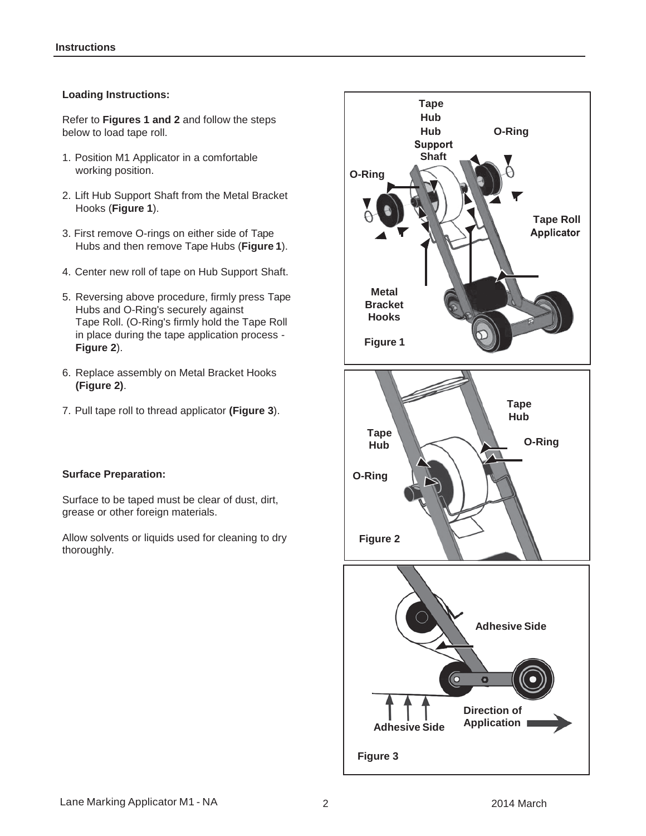#### **Loading Instructions:**

Refer to **Figures 1 and 2** and follow the steps below to load tape roll.

- 1. Position M1 Applicator in a comfortable working position.
- 2. Lift Hub Support Shaft from the Metal Bracket Hooks (**Figure 1**).
- 3. First remove O-rings on either side of Tape Hubs and then remove Tape Hubs (**Figure 1**).
- 4. Center new roll of tape on Hub Support Shaft.
- 5. Reversing above procedure, firmly press Tape Hubs and O-Ring's securely against Tape Roll. (O-Ring's firmly hold the Tape Roll in place during the tape application process - **Figure 2**).
- 6. Replace assembly on Metal Bracket Hooks **(Figure 2)**.
- 7. Pull tape roll to thread applicator **(Figure 3**).

#### **Surface Preparation:**

Surface to be taped must be clear of dust, dirt, grease or other foreign materials.

Allow solvents or liquids used for cleaning to dry thoroughly.

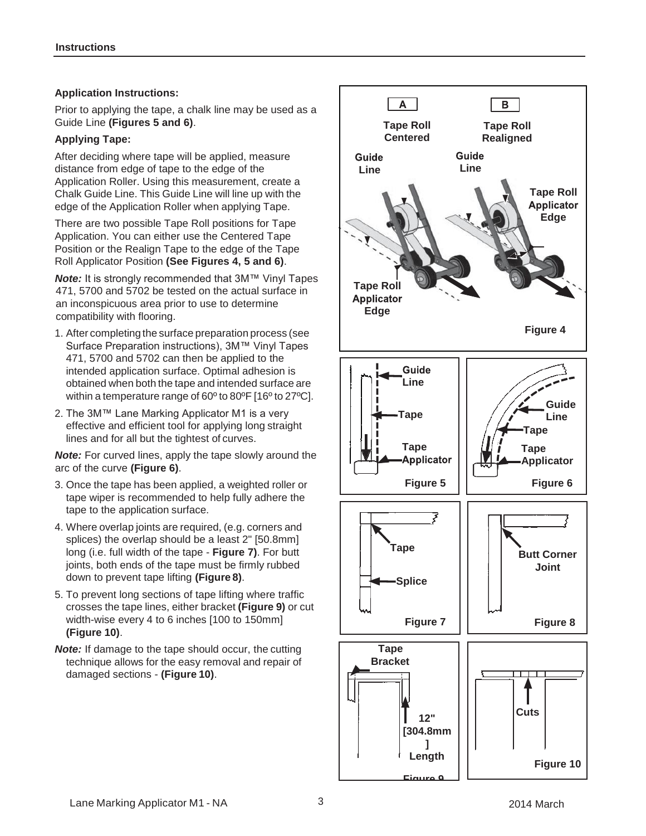#### **Application Instructions:**

Prior to applying the tape, a chalk line may be used as a Guide Line **(Figures 5 and 6)**.

#### **Applying Tape:**

After deciding where tape will be applied, measure distance from edge of tape to the edge of the Application Roller. Using this measurement, create a Chalk Guide Line. This Guide Line will line up with the edge of the Application Roller when applying Tape.

There are two possible Tape Roll positions for Tape Application. You can either use the Centered Tape Position or the Realign Tape to the edge of the Tape Roll Applicator Position **(See Figures 4, 5 and 6)**.

*Note:* It is strongly recommended that 3M™ Vinyl Tapes 471, 5700 and 5702 be tested on the actual surface in an inconspicuous area prior to use to determine compatibility with flooring.

- 1. After completing the surface preparation process (see Surface Preparation instructions), 3M™ Vinyl Tapes 471, 5700 and 5702 can then be applied to the intended application surface. Optimal adhesion is obtained when both the tape and intended surface are within a temperature range of 60º to 80ºF [16º to 27ºC].
- 2. The 3M™ Lane Marking Applicator M1 is a very effective and efficient tool for applying long straight lines and for all but the tightest of curves.

*Note:* For curved lines, apply the tape slowly around the arc of the curve **(Figure 6)**.

- 3. Once the tape has been applied, a weighted roller or tape wiper is recommended to help fully adhere the tape to the application surface.
- 4. Where overlap joints are required, (e.g. corners and splices) the overlap should be a least 2" [50.8mm] long (i.e. full width of the tape - **Figure 7)**. For butt joints, both ends of the tape must be firmly rubbed down to prevent tape lifting **(Figure 8)**.
- 5. To prevent long sections of tape lifting where traffic crosses the tape lines, either bracket **(Figure 9)** or cut width-wise every 4 to 6 inches [100 to 150mm] **(Figure 10)**.
- **Note:** If damage to the tape should occur, the cutting technique allows for the easy removal and repair of damaged sections - **(Figure 10)**.

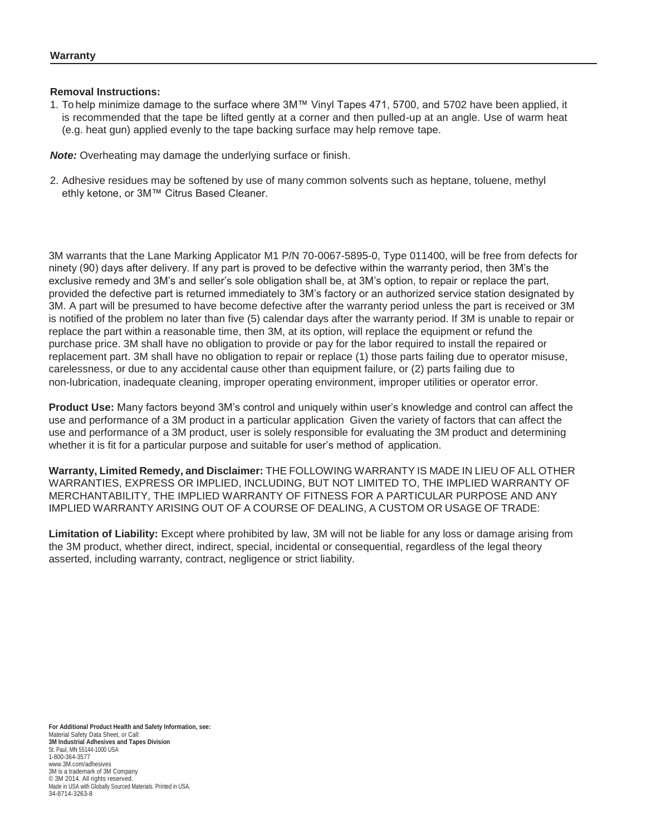#### **Removal Instructions:**

1. To help minimize damage to the surface where 3M™ Vinyl Tapes 471, 5700, and 5702 have been applied, it is recommended that the tape be lifted gently at a corner and then pulled-up at an angle. Use of warm heat (e.g. heat gun) applied evenly to the tape backing surface may help remove tape.

*Note:* Overheating may damage the underlying surface or finish.

2. Adhesive residues may be softened by use of many common solvents such as heptane, toluene, methyl ethly ketone, or 3M™ Citrus Based Cleaner.

3M warrants that the Lane Marking Applicator M1 P/N 70-0067-5895-0, Type 011400, will be free from defects for ninety (90) days after delivery. If any part is proved to be defective within the warranty period, then 3M's the exclusive remedy and 3M's and seller's sole obligation shall be, at 3M's option, to repair or replace the part, provided the defective part is returned immediately to 3M's factory or an authorized service station designated by 3M. A part will be presumed to have become defective after the warranty period unless the part is received or 3M is notified of the problem no later than five (5) calendar days after the warranty period. If 3M is unable to repair or replace the part within a reasonable time, then 3M, at its option, will replace the equipment or refund the purchase price. 3M shall have no obligation to provide or pay for the labor required to install the repaired or replacement part. 3M shall have no obligation to repair or replace (1) those parts failing due to operator misuse, carelessness, or due to any accidental cause other than equipment failure, or (2) parts failing due to non-lubrication, inadequate cleaning, improper operating environment, improper utilities or operator error.

**Product Use:** Many factors beyond 3M's control and uniquely within user's knowledge and control can affect the use and performance of a 3M product in a particular application Given the variety of factors that can affect the use and performance of a 3M product, user is solely responsible for evaluating the 3M product and determining whether it is fit for a particular purpose and suitable for user's method of application.

**Warranty, Limited Remedy, and Disclaimer:** THE FOLLOWING WARRANTY IS MADE IN LIEU OF ALL OTHER WARRANTIES, EXPRESS OR IMPLIED, INCLUDING, BUT NOT LIMITED TO, THE IMPLIED WARRANTY OF MERCHANTABILITY, THE IMPLIED WARRANTY OF FITNESS FOR A PARTICULAR PURPOSE AND ANY IMPLIED WARRANTY ARISING OUT OF A COURSE OF DEALING, A CUSTOM OR USAGE OF TRADE:

**Limitation of Liability:** Except where prohibited by law, 3M will not be liable for any loss or damage arising from the 3M product, whether direct, indirect, special, incidental or consequential, regardless of the legal theory asserted, including warranty, contract, negligence or strict liability.

**For Additional Product Health and Safety Information, see:** Material Safety Data Sheet, or Call: **3M Industrial Adhesives and Tapes Division** St. Paul, MN 55144-1000 USA 1-800-364-3577 [www.3M.com/adhesives](http://www.3m.com/adhesives) 3M is a trademark of 3M Company © 3M 2014. All rights reserved. Made in USA with Globally Sourced Materials. Printed in USA. 34-8714-3263-8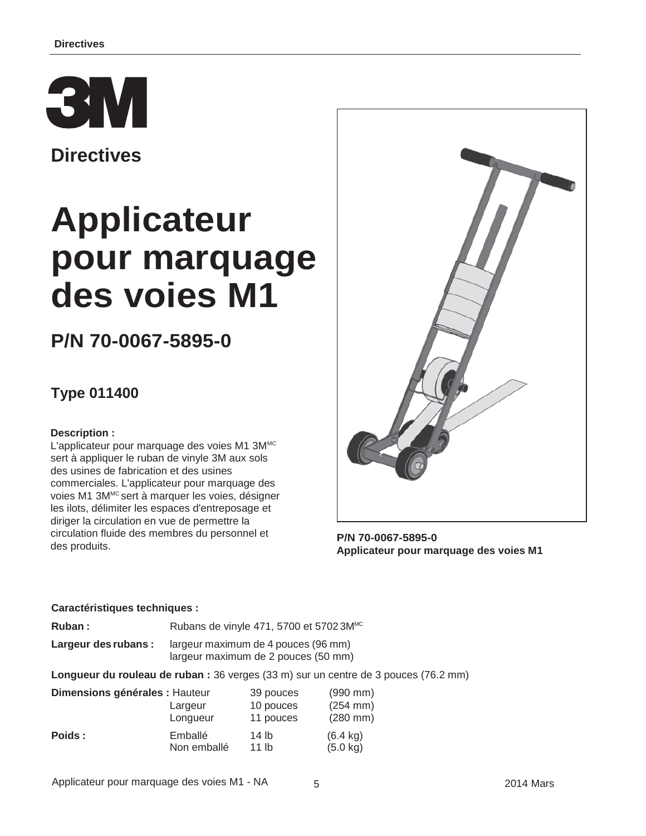

**Directives**

# **Applicateur pour marquage des voies M1**

## **P/N 70-0067-5895-0**

### **Type 011400**

#### **Description :**

L'applicateur pour marquage des voies M1 3MMC sert à appliquer le ruban de vinyle 3M aux sols des usines de fabrication et des usines commerciales. L'applicateur pour marquage des voies M1 3M<sup>MC</sup> sert à marquer les voies, désigner les ilots, délimiter les espaces d'entreposage et diriger la circulation en vue de permettre la circulation fluide des membres du personnel et des produits.



**P/N 70-0067-5895-0 Applicateur pour marquage des voies M1**

#### **Caractéristiques techniques :**

Ruban : Rubans de vinyle 471, 5700 et 57023M<sup>MC</sup>

**Largeur des rubans :** largeur maximum de 4 pouces (96 mm) largeur maximum de 2 pouces (50 mm)

**Longueur du rouleau de ruban :** 36 verges (33 m) sur un centre de 3 pouces (76.2 mm)

| Dimensions générales : Hauteur |             | 39 pouces        | $(990$ mm)           |
|--------------------------------|-------------|------------------|----------------------|
|                                | Largeur     | 10 pouces        | $(254 \, \text{mm})$ |
|                                | Longueur    | 11 pouces        | $(280$ mm)           |
| Poids :                        | Emballé     | 14 lb            | $(6.4 \text{ kg})$   |
|                                | Non emballé | 11 <sub>lh</sub> | $(5.0 \text{ kg})$   |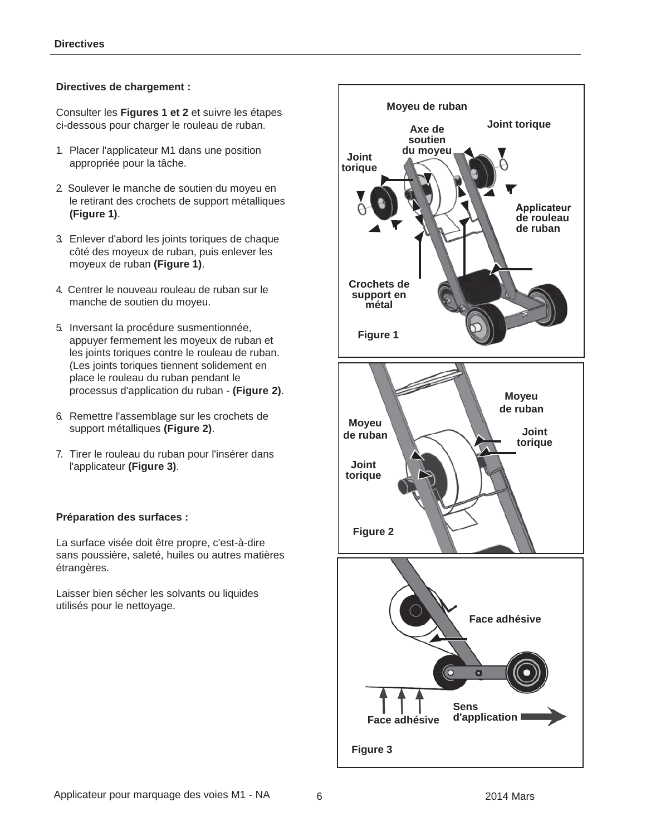#### **Directives de chargement :**

Consulter les **Figures 1 et 2** et suivre les étapes ci-dessous pour charger le rouleau de ruban.

- 1. Placer l'applicateur M1 dans une position appropriée pour la tâche.
- 2. Soulever le manche de soutien du moyeu en le retirant des crochets de support métalliques **(Figure 1)**.
- 3. Enlever d'abord les joints toriques de chaque côté des moyeux de ruban, puis enlever les moyeux de ruban **(Figure 1)**.
- 4. Centrer le nouveau rouleau de ruban sur le manche de soutien du moyeu.
- 5. Inversant la procédure susmentionnée, appuyer fermement les moyeux de ruban et les joints toriques contre le rouleau de ruban. (Les joints toriques tiennent solidement en place le rouleau du ruban pendant le processus d'application du ruban - **(Figure 2)**.
- 6. Remettre l'assemblage sur les crochets de support métalliques **(Figure 2)**.
- 7. Tirer le rouleau du ruban pour l'insérer dans l'applicateur **(Figure 3)**.

#### **Préparation des surfaces :**

La surface visée doit être propre, c'est-à-dire sans poussière, saleté, huiles ou autres matières étrangères.

Laisser bien sécher les solvants ou liquides utilisés pour le nettoyage.

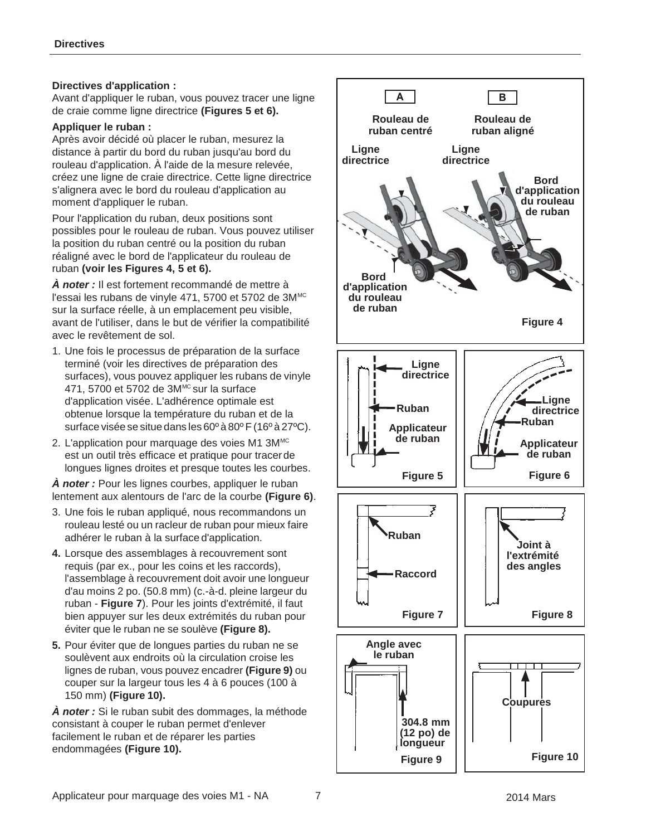#### **Directives d'application :**

Avant d'appliquer le ruban, vous pouvez tracer une ligne de craie comme ligne directrice **(Figures 5 et 6).**

#### **Appliquer le ruban :**

Après avoir décidé où placer le ruban, mesurez la distance à partir du bord du ruban jusqu'au bord du rouleau d'application. À l'aide de la mesure relevée, créez une ligne de craie directrice. Cette ligne directrice s'alignera avec le bord du rouleau d'application au moment d'appliquer le ruban.

Pour l'application du ruban, deux positions sont possibles pour le rouleau de ruban. Vous pouvez utiliser la position du ruban centré ou la position du ruban réaligné avec le bord de l'applicateur du rouleau de ruban **(voir les Figures 4, 5 et 6).**

*À noter :* Il est fortement recommandé de mettre à l'essai les rubans de vinyle 471, 5700 et 5702 de 3M<sup>MC</sup> sur la surface réelle, à un emplacement peu visible, avant de l'utiliser, dans le but de vérifier la compatibilité avec le revêtement de sol.

- 1. Une fois le processus de préparation de la surface terminé (voir les directives de préparation des surfaces), vous pouvez appliquer les rubans de vinyle 471, 5700 et 5702 de 3M<sup>MC</sup> sur la surface d'application visée. L'adhérence optimale est obtenue lorsque la température du ruban et de la surface visée se situe dans les 60º à 80º F (16º à 27ºC).
- 2. L'application pour marquage des voies M1 3MMC est un outil très efficace et pratique pour tracerde longues lignes droites et presque toutes les courbes.

*À noter :* Pour les lignes courbes, appliquer le ruban lentement aux alentours de l'arc de la courbe **(Figure 6)**.

- 3. Une fois le ruban appliqué, nous recommandons un rouleau lesté ou un racleur de ruban pour mieux faire adhérer le ruban à la surface d'application.
- **4.** Lorsque des assemblages à recouvrement sont requis (par ex., pour les coins et les raccords), l'assemblage à recouvrement doit avoir une longueur d'au moins 2 po. (50.8 mm) (c.-à-d. pleine largeur du ruban - **Figure 7**). Pour les joints d'extrémité, il faut bien appuyer sur les deux extrémités du ruban pour éviter que le ruban ne se soulève **(Figure 8).**
- **5.** Pour éviter que de longues parties du ruban ne se soulèvent aux endroits où la circulation croise les lignes de ruban, vous pouvez encadrer **(Figure 9)** ou couper sur la largeur tous les 4 à 6 pouces (100 à 150 mm) **(Figure 10).**

*À noter :* Si le ruban subit des dommages, la méthode consistant à couper le ruban permet d'enlever facilement le ruban et de réparer les parties endommagées **(Figure 10).**

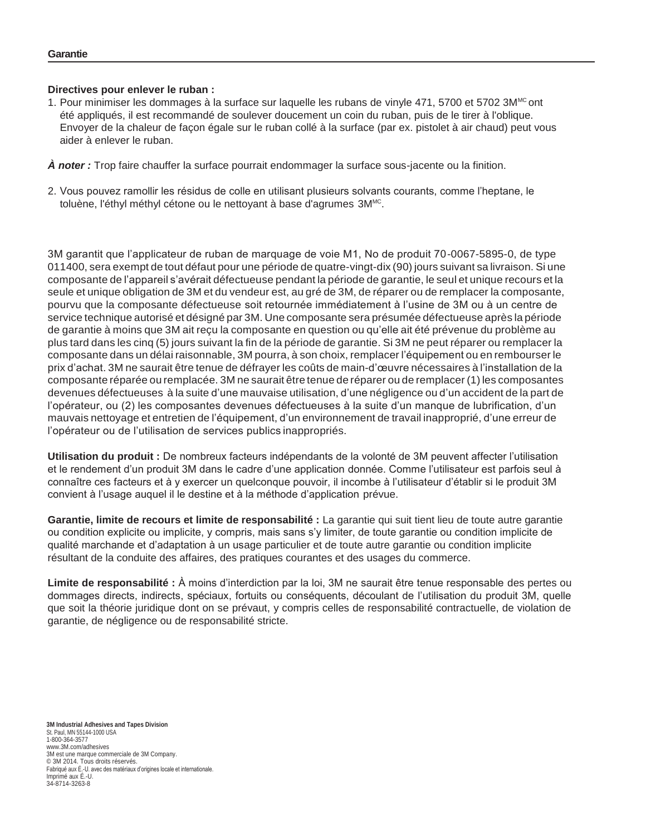#### **Directives pour enlever le ruban :**

1. Pour minimiser les dommages à la surface sur laquelle les rubans de vinyle 471, 5700 et 5702  $3M<sup>MC</sup>$ ont été appliqués, il est recommandé de soulever doucement un coin du ruban, puis de le tirer à l'oblique. Envoyer de la chaleur de façon égale sur le ruban collé à la surface (par ex. pistolet à air chaud) peut vous aider à enlever le ruban.

*À noter :* Trop faire chauffer la surface pourrait endommager la surface sous-jacente ou la finition.

2. Vous pouvez ramollir les résidus de colle en utilisant plusieurs solvants courants, comme l'heptane, le toluène, l'éthyl méthyl cétone ou le nettoyant à base d'agrumes 3M<sup>MC</sup>.

3M garantit que l'applicateur de ruban de marquage de voie M1, No de produit 70-0067-5895-0, de type 011400, sera exempt de tout défaut pour une période de quatre-vingt-dix (90) jours suivant sa livraison. Si une composante de l'appareil s'avérait défectueuse pendant la période de garantie, le seul et unique recours et la seule et unique obligation de 3M et du vendeur est, au gré de 3M, de réparer ou de remplacer la composante, pourvu que la composante défectueuse soit retournée immédiatement à l'usine de 3M ou à un centre de service technique autorisé et désigné par 3M. Une composante sera présumée défectueuse après la période de garantie à moins que 3M ait reçu la composante en question ou qu'elle ait été prévenue du problème au plus tard dans les cinq (5) jours suivant la fin de la période de garantie. Si 3M ne peut réparer ou remplacer la composante dans un délai raisonnable, 3M pourra, à son choix, remplacer l'équipement ou en rembourser le prix d'achat. 3M ne saurait être tenue de défrayer les coûts de main-d'œuvre nécessaires à l'installation de la composante réparée ou remplacée. 3M ne saurait être tenue de réparer ou de remplacer (1) les composantes devenues défectueuses à la suite d'une mauvaise utilisation, d'une négligence ou d'un accident de la part de l'opérateur, ou (2) les composantes devenues défectueuses à la suite d'un manque de lubrification, d'un mauvais nettoyage et entretien de l'équipement, d'un environnement de travail inapproprié, d'une erreur de l'opérateur ou de l'utilisation de services publics inappropriés.

**Utilisation du produit :** De nombreux facteurs indépendants de la volonté de 3M peuvent affecter l'utilisation et le rendement d'un produit 3M dans le cadre d'une application donnée. Comme l'utilisateur est parfois seul à connaître ces facteurs et à y exercer un quelconque pouvoir, il incombe à l'utilisateur d'établir si le produit 3M convient à l'usage auquel il le destine et à la méthode d'application prévue.

**Garantie, limite de recours et limite de responsabilité :** La garantie qui suit tient lieu de toute autre garantie ou condition explicite ou implicite, y compris, mais sans s'y limiter, de toute garantie ou condition implicite de qualité marchande et d'adaptation à un usage particulier et de toute autre garantie ou condition implicite résultant de la conduite des affaires, des pratiques courantes et des usages du commerce.

**Limite de responsabilité :** À moins d'interdiction par la loi, 3M ne saurait être tenue responsable des pertes ou dommages directs, indirects, spéciaux, fortuits ou conséquents, découlant de l'utilisation du produit 3M, quelle que soit la théorie juridique dont on se prévaut, y compris celles de responsabilité contractuelle, de violation de garantie, de négligence ou de responsabilité stricte.

**3M Industrial Adhesives and Tapes Division** St. Paul, MN 55144-1000 USA 1-800-364-3577 [www.3M.com/adhesives](http://www.3m.com/adhesives) 3M est une marque commerciale de 3M Company. © 3M 2014. Tous droits réservés. Fabriqué aux É.-U. avec des matériaux d'origines locale et internationale. Imprimé aux É.-U. 34-8714-3263-8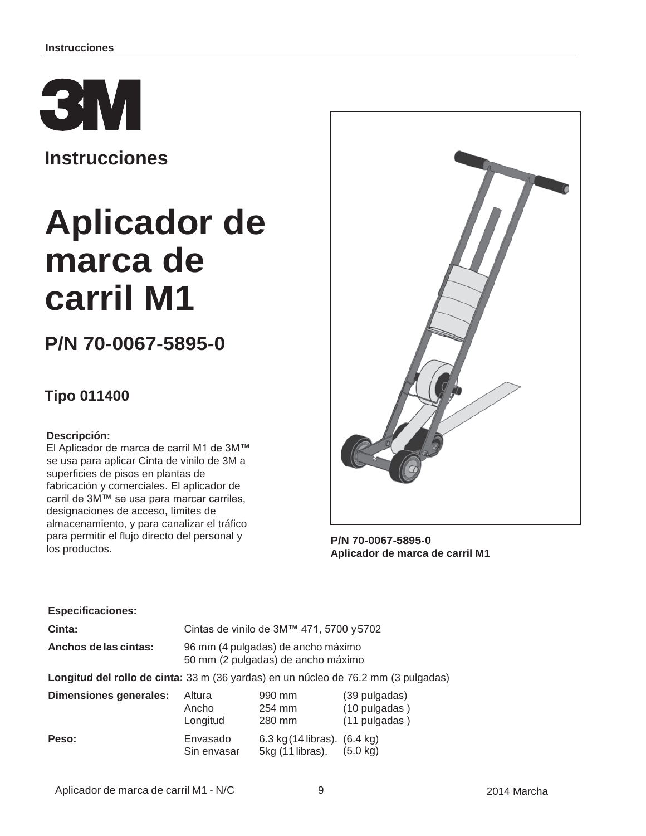

**Instrucciones**

# **Aplicador de marca de carril M1**

## **P/N 70-0067-5895-0**

### **Tipo 011400**

#### **Descripción:**

El Aplicador de marca de carril M1 de 3M™ se usa para aplicar Cinta de vinilo de 3M a superficies de pisos en plantas de fabricación y comerciales. El aplicador de carril de 3M™ se usa para marcar carriles, designaciones de acceso, límites de almacenamiento, y para canalizar el tráfico para permitir el flujo directo del personal y los productos.



**P/N 70-0067-5895-0 Aplicador de marca de carril M1**

#### **Especificaciones:**

**Cinta:** Cintas de vinilo de 3M™ 471, 5700 y5702

**Anchos delas cintas:** 96 mm (4 pulgadas) de ancho máximo 50 mm (2 pulgadas) de ancho máximo

**Longitud del rollo de cinta:** 33 m (36 yardas) en un núcleo de 76.2 mm (3 pulgadas)

| Dimensiones generales: | Altura                  | 990 mm                                                                | (39 pulgadas)      |
|------------------------|-------------------------|-----------------------------------------------------------------------|--------------------|
|                        | Ancho                   | 254 mm                                                                | (10 pulgadas)      |
|                        | Longitud                | 280 mm                                                                | (11 pulgadas)      |
| Peso:                  | Envasado<br>Sin envasar | 6.3 kg $(14 \text{ libras})$ . $(6.4 \text{ kg})$<br>5kg (11 libras). | $(5.0 \text{ kg})$ |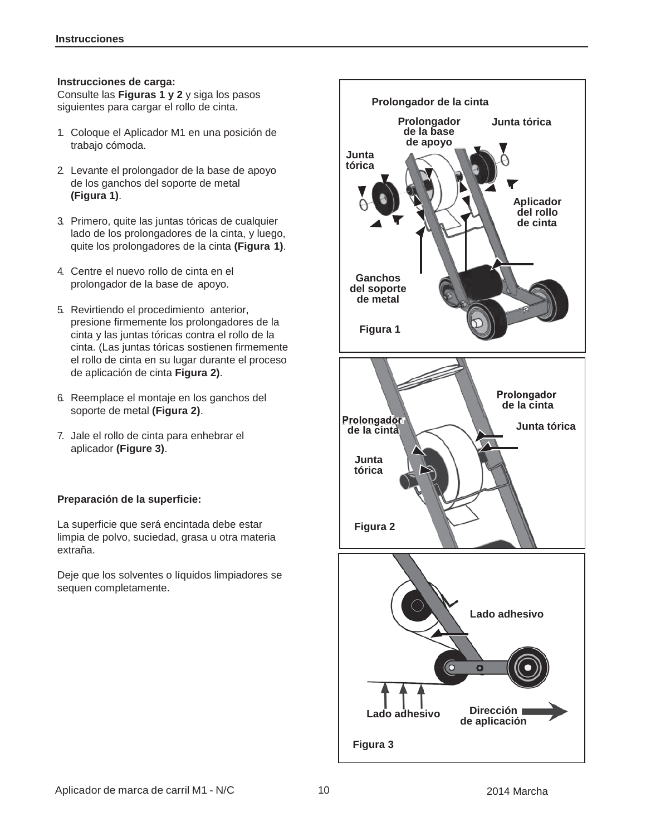#### **Instrucciones de carga:**

Consulte las **Figuras 1 y 2** y siga los pasos siguientes para cargar el rollo de cinta.

- 1. Coloque el Aplicador M1 en una posición de trabajo cómoda.
- 2. Levante el prolongador de la base de apoyo de los ganchos del soporte de metal **(Figura 1)**.
- 3. Primero, quite las juntas tóricas de cualquier lado de los prolongadores de la cinta, y luego, quite los prolongadores de la cinta **(Figura 1)**.
- 4. Centre el nuevo rollo de cinta en el prolongador de la base de apoyo.
- 5. Revirtiendo el procedimiento anterior, presione firmemente los prolongadores de la cinta y las juntas tóricas contra el rollo de la cinta. (Las juntas tóricas sostienen firmemente el rollo de cinta en su lugar durante el proceso de aplicación de cinta **Figura 2)**.
- 6. Reemplace el montaje en los ganchos del soporte de metal **(Figura 2)**.
- 7. Jale el rollo de cinta para enhebrar el aplicador **(Figure 3)**.

#### **Preparación de la superficie:**

La superficie que será encintada debe estar limpia de polvo, suciedad, grasa u otra materia extraña.

Deje que los solventes o líquidos limpiadores se sequen completamente.

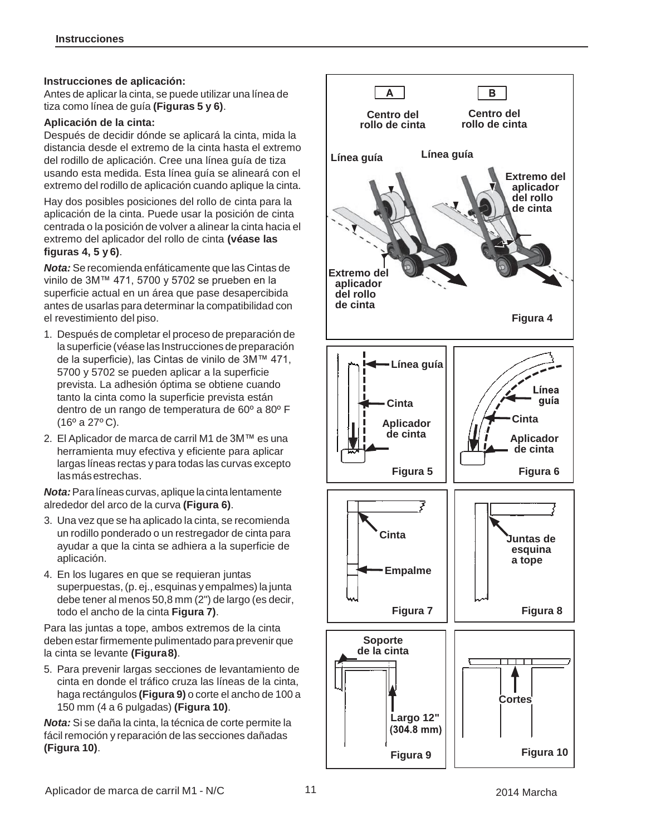#### **Instrucciones de aplicación:**

Antes de aplicar la cinta, se puede utilizar una línea de tiza como línea de guía **(Figuras 5 y 6)**.

#### **Aplicación de la cinta:**

Después de decidir dónde se aplicará la cinta, mida la distancia desde el extremo de la cinta hasta el extremo del rodillo de aplicación. Cree una línea guía de tiza usando esta medida. Esta línea guía se alineará con el extremo del rodillo de aplicación cuando aplique la cinta.

Hay dos posibles posiciones del rollo de cinta para la aplicación de la cinta. Puede usar la posición de cinta centrada o la posición de volver a alinear la cinta hacia el extremo del aplicador del rollo de cinta **(véase las figuras 4, 5 y 6)**.

*Nota:* Se recomienda enfáticamente que las Cintas de vinilo de 3M™ 471, 5700 y 5702 se prueben en la superficie actual en un área que pase desapercibida antes de usarlas para determinar la compatibilidad con el revestimiento del piso.

- 1. Después de completar el proceso de preparación de la superficie (véase las Instrucciones de preparación de la superficie), las Cintas de vinilo de 3M™ 471, 5700 y 5702 se pueden aplicar a la superficie prevista. La adhesión óptima se obtiene cuando tanto la cinta como la superficie prevista están dentro de un rango de temperatura de 60º a 80º F (16º a 27º C).
- 2. El Aplicador de marca de carril M1 de 3M™ es una herramienta muy efectiva y eficiente para aplicar largas líneas rectas y para todas las curvas excepto lasmásestrechas.

*Nota:*Para líneas curvas, aplique lacinta lentamente alrededor del arco de la curva **(Figura 6)**.

- 3. Una vez que se ha aplicado la cinta, se recomienda un rodillo ponderado o un restregador de cinta para ayudar a que la cinta se adhiera a la superficie de aplicación.
- 4. En los lugares en que se requieran juntas superpuestas,(p. ej., esquinas yempalmes) la junta debe tener al menos 50,8 mm (2") de largo (es decir, todo el ancho de la cinta **Figura 7)**.

Para las juntas a tope, ambos extremos de la cinta deben estarfirmemente pulimentado para prevenir que la cinta se levante **(Figura8)**.

5. Para prevenir largas secciones de levantamiento de cinta en donde el tráfico cruza las líneas de la cinta, haga rectángulos **(Figura 9)** o corte el ancho de 100 a 150 mm (4 a 6 pulgadas) **(Figura 10)**.

*Nota:* Si se daña la cinta, la técnica de corte permite la fácil remoción y reparación de las secciones dañadas **(Figura 10)**.